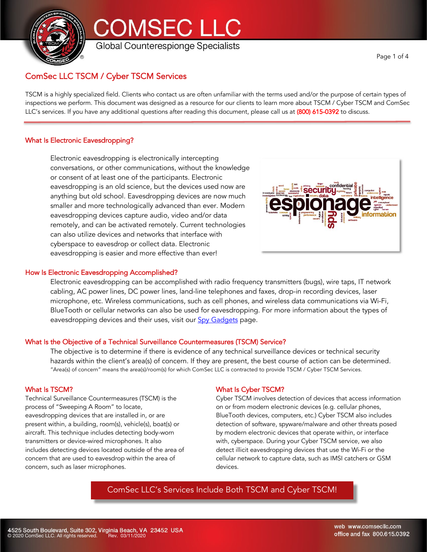



Page 1 of 4

# ComSec LLC TSCM / Cyber TSCM Services

TSCM is a highly specialized field. Clients who contact us are often unfamiliar with the terms used and/or the purpose of certain types of inspections we perform. This document was designed as a resource for our clients to learn more about TSCM / Cyber TSCM and ComSec LLC's services. If you have any additional questions after reading this document, please call us at (800) 615-0392 to discuss.

# What Is Electronic Eavesdropping?

Electronic eavesdropping is electronically intercepting conversations, or other communications, without the knowledge or consent of at least one of the participants. Electronic eavesdropping is an old science, but the devices used now are anything but old school. Eavesdropping devices are now much smaller and more technologically advanced than ever. Modern eavesdropping devices capture audio, video and/or data remotely, and can be activated remotely. Current technologies can also utilize devices and networks that interface with cyberspace to eavesdrop or collect data. Electronic eavesdropping is easier and more effective than ever!

## How Is Electronic Eavesdropping Accomplished?

Electronic eavesdropping can be accomplished with radio frequency transmitters (bugs), wire taps, IT network cabling, AC power lines, DC power lines, land-line telephones and faxes, drop-in recording devices, laser microphone, etc. Wireless communications, such as cell phones, and wireless data communications via Wi-Fi, BlueTooth or cellular networks can also be used for eavesdropping. For more information about the types of

## What Is the Objective of a Technical Surveillance Countermeasures (TSCM) Service?

eavesdropping devices and their uses, visit our **Spy Gadgets** page.

The objective is to determine if there is evidence of any technical surveillance devices or technical security hazards within the client's area(s) of concern. If they are present, the best course of action can be determined. "Area(s) of concern" means the area(s)/room(s) for which ComSec LLC is contracted to provide TSCM / Cyber TSCM Services.

## What Is TSCM?

Technical Surveillance Countermeasures (TSCM) is the process of "Sweeping A Room" to locate, eavesdropping devices that are installed in, or are present within, a building, room(s), vehicle(s), boat(s) or aircraft. This technique includes detecting body-worn transmitters or device-wired microphones. It also includes detecting devices located outside of the area of concern that are used to eavesdrop within the area of concern, such as laser microphones.

# What Is Cyber TSCM?

Cyber TSCM involves detection of devices that access information on or from modern electronic devices (e.g. cellular phones, BlueTooth devices, computers, etc.) Cyber TSCM also includes detection of software, spyware/malware and other threats posed by modern electronic devices that operate within, or interface with, cyberspace. During your Cyber TSCM service, we also detect illicit eavesdropping devices that use the Wi-Fi or the cellular network to capture data, such as IMSI catchers or GSM devices.

**securiti** 

# ComSec LLC's Services Include Both TSCM and Cyber TSCM!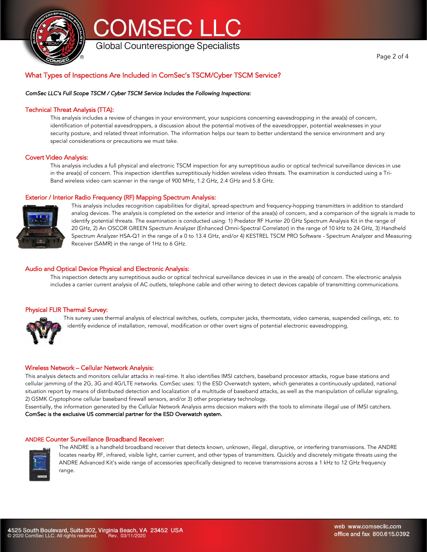



Global Counterespionge Specialists

# What Types of Inspections Are Included in ComSec's TSCM/Cyber TSCM Service?

#### *ComSec LLC's Full Scope TSCM / Cyber TSCM Service Includes the Following Inspections:*

#### Technical Threat Analysis (TTA):

This analysis includes a review of changes in your environment, your suspicions concerning eavesdropping in the area(s) of concern, identification of potential eavesdroppers, a discussion about the potential motives of the eavesdropper, potential weaknesses in your security posture, and related threat information. The information helps our team to better understand the service environment and any special considerations or precautions we must take.

#### Covert Video Analysis:

This analysis includes a full physical and electronic TSCM inspection for any surreptitious audio or optical technical surveillance devices in use in the area(s) of concern. This inspection identifies surreptitiously hidden wireless video threats. The examination is conducted using a Tri-Band wireless video cam scanner in the range of 900 MHz, 1.2 GHz, 2.4 GHz and 5.8 GHz.

#### Exterior / Interior Radio Frequency (RF) Mapping Spectrum Analysis:



This analysis includes recognition capabilities for digital, spread-spectrum and frequency-hopping transmitters in addition to standard analog devices. The analysis is completed on the exterior and interior of the area(s) of concern, and a comparison of the signals is made to identify potential threats. The examination is conducted using: 1) Predator RF Hunter 20 GHz Spectrum Analysis Kit in the range of 20 GHz, 2) An OSCOR GREEN Spectrum Analyzer (Enhanced Omni-Spectral Correlator) in the range of 10 kHz to 24 GHz, 3) Handheld Spectrum Analyzer HSA-Q1 in the range of a 0 to 13.4 GHz, and/or 4) KESTREL TSCM PRO Software - Spectrum Analyzer and Measuring Receiver (SAMR) in the range of 1Hz to 6 GHz.

#### Audio and Optical Device Physical and Electronic Analysis:

This inspection detects any surreptitious audio or optical technical surveillance devices in use in the area(s) of concern. The electronic analysis includes a carrier current analysis of AC outlets, telephone cable and other wiring to detect devices capable of transmitting communications.

#### Physical FLIR Thermal Survey:



This survey uses thermal analysis of electrical switches, outlets, computer jacks, thermostats, video cameras, suspended ceilings, etc. to identify evidence of installation, removal, modification or other overt signs of potential electronic eavesdropping.

#### Wireless Network – Cellular Network Analysis:

This analysis detects and monitors cellular attacks in real-time. It also identifies IMSI catchers, baseband processor attacks, rogue base stations and cellular jamming of the 2G, 3G and 4G/LTE networks. ComSec uses: 1) the ESD Overwatch system, which generates a continuously updated, national situation report by means of distributed detection and localization of a multitude of baseband attacks, as well as the manipulation of cellular signaling, 2) GSMK Cryptophone cellular baseband firewall sensors, and/or 3) other proprietary technology.

Essentially, the information generated by the Cellular Network Analysis arms decision makers with the tools to eliminate illegal use of IMSI catchers. ComSec is the exclusive US commercial partner for the ESD Overwatch system.

#### ANDRE Counter Surveillance Broadband Receiver:



The ANDRE is a handheld broadband receiver that detects known, unknown, illegal, disruptive, or interfering transmissions. The ANDRE locates nearby RF, infrared, visible light, carrier current, and other types of transmitters. Quickly and discretely mitigate threats using the ANDRE Advanced Kit's wide range of accessories specifically designed to receive transmissions across a 1 kHz to 12 GHz frequency range.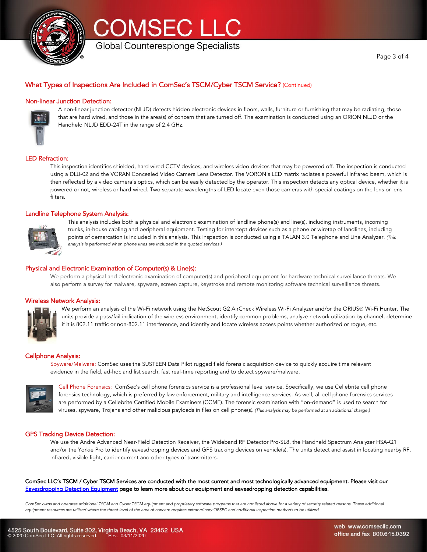



# What Types of Inspections Are Included in ComSec's TSCM/Cyber TSCM Service? (Continued)

#### Non-linear Junction Detection:



A non-linear junction detector (NLJD) detects hidden electronic devices in floors, walls, furniture or furnishing that may be radiating, those that are hard wired, and those in the area(s) of concern that are turned off. The examination is conducted using an ORION NLJD or the Handheld NLJD EDD-24T in the range of 2.4 GHz.

#### LED Refraction:

This inspection identifies shielded, hard wired CCTV devices, and wireless video devices that may be powered off. The inspection is conducted using a DLU-02 and the VORAN Concealed Video Camera Lens Detector. The VORON's LED matrix radiates a powerful infrared beam, which is then reflected by a video camera's optics, which can be easily detected by the operator. This inspection detects any optical device, whether it is powered or not, wireless or hard-wired. Two separate wavelengths of LED locate even those cameras with special coatings on the lens or lens filters.

#### Landline Telephone System Analysis:



This analysis includes both a physical and electronic examination of landline phone(s) and line(s), including instruments, incoming trunks, in-house cabling and peripheral equipment. Testing for intercept devices such as a phone or wiretap of landlines, including points of demarcation is included in this analysis. This inspection is conducted using a TALAN 3.0 Telephone and Line Analyzer. *(This analysis is performed when phone lines are included in the quoted services.)*

#### Physical and Electronic Examination of Computer(s) & Line(s):

We perform a physical and electronic examination of computer(s) and peripheral equipment for hardware technical surveillance threats. We also perform a survey for malware, spyware, screen capture, keystroke and remote monitoring software technical surveillance threats.

#### Wireless Network Analysis:



We perform an analysis of the Wi-Fi network using the NetScout G2 AirCheck Wireless Wi-Fi Analyzer and/or the ORIUS® Wi-Fi Hunter. The units provide a pass/fail indication of the wireless environment, identify common problems, analyze network utilization by channel, determine if it is 802.11 traffic or non-802.11 interference, and identify and locate wireless access points whether authorized or rogue, etc.

#### Cellphone Analysis:

Spyware/Malware: ComSec uses the SUSTEEN Data Pilot rugged field forensic acquisition device to quickly acquire time relevant evidence in the field, ad-hoc and list search, fast real-time reporting and to detect spyware/malware.



Cell Phone Forensics: ComSec's cell phone forensics service is a professional level service. Specifically, we use Cellebrite cell phone forensics technology, which is preferred by law enforcement, military and intelligence services. As well, all cell phone forensics services are performed by a Cellebrite Certified Mobile Examiners (CCME). The forensic examination with "on-demand" is used to search for viruses, spyware, Trojans and other malicious payloads in files on cell phone(s*). (This analysis may be performed at an additional charge.)*

#### GPS Tracking Device Detection:

We use the Andre Advanced Near-Field Detection Receiver, the Wideband RF Detector Pro-SL8, the Handheld Spectrum Analyzer HSA-Q1 and/or the Yorkie Pro to identify eavesdropping devices and GPS tracking devices on vehicle(s). The units detect and assist in locating nearby RF, infrared, visible light, carrier current and other types of transmitters.

ComSec LLC's TSCM / Cyber TSCM Services are conducted with the most current and most technologically advanced equipment. Please visit our Eavesdropping Detection Equipment page to learn more about our equipment and eavesdropping detection capabilities.

*ComSec owns and operates additional TSCM and Cyber TSCM equipment and proprietary software programs that are not listed above for a variety of security related reasons. These additional equipment resources are utilized where the threat level of the area of concern requires extraordinary OPSEC and additional inspection methods to be utilized*